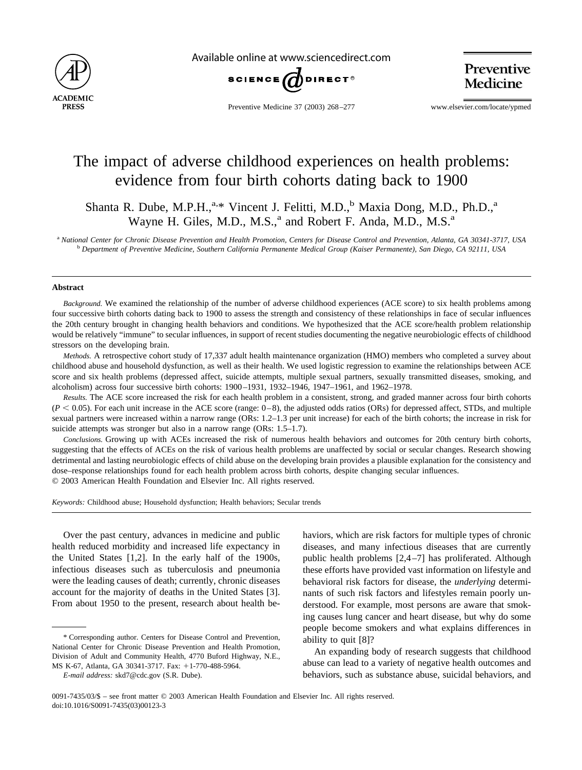

Available online at www.sciencedirect.com





Preventive Medicine 37 (2003) 268–277 www.elsevier.com/locate/ypmed

# The impact of adverse childhood experiences on health problems: evidence from four birth cohorts dating back to 1900

Shanta R. Dube, M.P.H.,<sup>a,\*</sup> Vincent J. Felitti, M.D.,<sup>b</sup> Maxia Dong, M.D., Ph.D.,<sup>a</sup> Wayne H. Giles, M.D., M.S.,<sup>a</sup> and Robert F. Anda, M.D., M.S.<sup>a</sup>

<sup>a</sup> *National Center for Chronic Disease Prevention and Health Promotion, Centers for Disease Control and Prevention, Atlanta, GA 30341-3717, USA* <sup>b</sup> *Department of Preventive Medicine, Southern California Permanente Medical Group (Kaiser Permanente), San Diego, CA 92111, USA*

#### **Abstract**

*Background.* We examined the relationship of the number of adverse childhood experiences (ACE score) to six health problems among four successive birth cohorts dating back to 1900 to assess the strength and consistency of these relationships in face of secular influences the 20th century brought in changing health behaviors and conditions. We hypothesized that the ACE score/health problem relationship would be relatively "immune" to secular influences, in support of recent studies documenting the negative neurobiologic effects of childhood stressors on the developing brain.

*Methods.* A retrospective cohort study of 17,337 adult health maintenance organization (HMO) members who completed a survey about childhood abuse and household dysfunction, as well as their health. We used logistic regression to examine the relationships between ACE score and six health problems (depressed affect, suicide attempts, multiple sexual partners, sexually transmitted diseases, smoking, and alcoholism) across four successive birth cohorts: 1900–1931, 1932–1946, 1947–1961, and 1962–1978.

*Results.* The ACE score increased the risk for each health problem in a consistent, strong, and graded manner across four birth cohorts  $(P < 0.05)$ . For each unit increase in the ACE score (range:  $0-8$ ), the adjusted odds ratios (ORs) for depressed affect, STDs, and multiple sexual partners were increased within a narrow range (ORs: 1.2–1.3 per unit increase) for each of the birth cohorts; the increase in risk for suicide attempts was stronger but also in a narrow range (ORs: 1.5–1.7).

*Conclusions.* Growing up with ACEs increased the risk of numerous health behaviors and outcomes for 20th century birth cohorts, suggesting that the effects of ACEs on the risk of various health problems are unaffected by social or secular changes. Research showing detrimental and lasting neurobiologic effects of child abuse on the developing brain provides a plausible explanation for the consistency and dose–response relationships found for each health problem across birth cohorts, despite changing secular influences. © 2003 American Health Foundation and Elsevier Inc. All rights reserved.

*Keywords:* Childhood abuse; Household dysfunction; Health behaviors; Secular trends

Over the past century, advances in medicine and public health reduced morbidity and increased life expectancy in the United States [\[1,2\].](#page-7-0) In the early half of the 1900s, infectious diseases such as tuberculosis and pneumonia were the leading causes of death; currently, chronic diseases account for the majority of deaths in the United States [\[3\]](#page-7-0). From about 1950 to the present, research about health behaviors, which are risk factors for multiple types of chronic diseases, and many infectious diseases that are currently public health problems [\[2,4–7\]](#page-7-0) has proliferated. Although these efforts have provided vast information on lifestyle and behavioral risk factors for disease, the *underlying* determinants of such risk factors and lifestyles remain poorly understood. For example, most persons are aware that smoking causes lung cancer and heart disease, but why do some people become smokers and what explains differences in ability to quit [\[8\]](#page-7-0)?

An expanding body of research suggests that childhood abuse can lead to a variety of negative health outcomes and behaviors, such as substance abuse, suicidal behaviors, and

<sup>\*</sup> Corresponding author. Centers for Disease Control and Prevention, National Center for Chronic Disease Prevention and Health Promotion, Division of Adult and Community Health, 4770 Buford Highway, N.E., MS K-67, Atlanta, GA 30341-3717. Fax: +1-770-488-5964.

*E-mail address:* skd7@cdc.gov (S.R. Dube).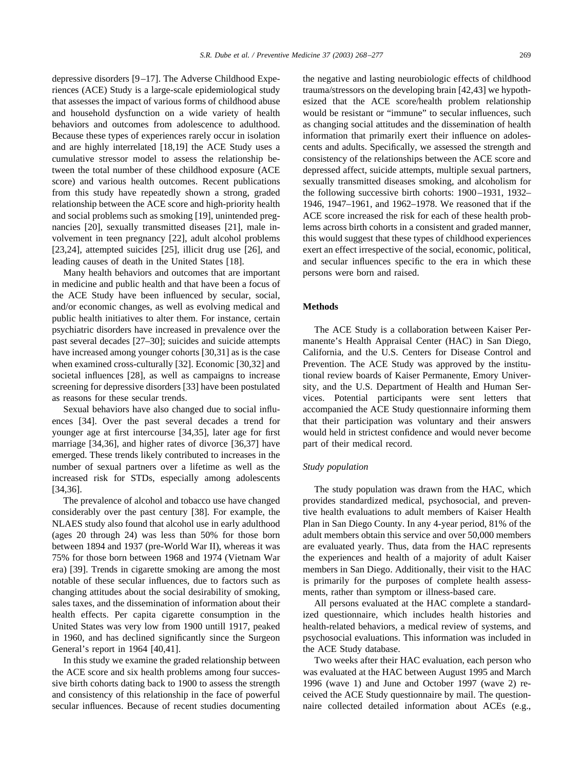depressive disorders [\[9–17\].](#page-7-0) The Adverse Childhood Experiences (ACE) Study is a large-scale epidemiological study that assesses the impact of various forms of childhood abuse and household dysfunction on a wide variety of health behaviors and outcomes from adolescence to adulthood. Because these types of experiences rarely occur in isolation and are highly interrelated [\[18,19\]](#page-7-0) the ACE Study uses a cumulative stressor model to assess the relationship between the total number of these childhood exposure (ACE score) and various health outcomes. Recent publications from this study have repeatedly shown a strong, graded relationship between the ACE score and high-priority health and social problems such as smoking [\[19\],](#page-8-0) unintended pregnancies [\[20\],](#page-8-0) sexually transmitted diseases [\[21\]](#page-8-0), male involvement in teen pregnancy [\[22\]](#page-8-0), adult alcohol problems [\[23,24\],](#page-8-0) attempted suicides [\[25\]](#page-8-0), illicit drug use [\[26\],](#page-8-0) and leading causes of death in the United States [\[18\].](#page-7-0)

Many health behaviors and outcomes that are important in medicine and public health and that have been a focus of the ACE Study have been influenced by secular, social, and/or economic changes, as well as evolving medical and public health initiatives to alter them. For instance, certain psychiatric disorders have increased in prevalence over the past several decades [\[27–30\]](#page-8-0); suicides and suicide attempts have increased among younger cohorts [\[30,31\]](#page-8-0) as is the case when examined cross-culturally [\[32\]](#page-8-0). Economic [\[30,32\]](#page-8-0) and societal influences [\[28\],](#page-8-0) as well as campaigns to increase screening for depressive disorders [\[33\]](#page-8-0) have been postulated as reasons for these secular trends.

Sexual behaviors have also changed due to social influences [\[34\].](#page-8-0) Over the past several decades a trend for younger age at first intercourse [\[34,35\]](#page-8-0), later age for first marriage [\[34,36\],](#page-8-0) and higher rates of divorce [\[36,37\]](#page-8-0) have emerged. These trends likely contributed to increases in the number of sexual partners over a lifetime as well as the increased risk for STDs, especially among adolescents [\[34,36\].](#page-8-0)

The prevalence of alcohol and tobacco use have changed considerably over the past century [\[38\]](#page-8-0). For example, the NLAES study also found that alcohol use in early adulthood (ages 20 through 24) was less than 50% for those born between 1894 and 1937 (pre-World War II), whereas it was 75% for those born between 1968 and 1974 (Vietnam War era) [\[39\]](#page-8-0). Trends in cigarette smoking are among the most notable of these secular influences, due to factors such as changing attitudes about the social desirability of smoking, sales taxes, and the dissemination of information about their health effects. Per capita cigarette consumption in the United States was very low from 1900 untill 1917, peaked in 1960, and has declined significantly since the Surgeon General's report in 1964 [\[40,41\].](#page-8-0)

In this study we examine the graded relationship between the ACE score and six health problems among four successive birth cohorts dating back to 1900 to assess the strength and consistency of this relationship in the face of powerful secular influences. Because of recent studies documenting the negative and lasting neurobiologic effects of childhood trauma/stressors on the developing brain [\[42,43\]](#page-8-0) we hypothesized that the ACE score/health problem relationship would be resistant or "immune" to secular influences, such as changing social attitudes and the dissemination of health information that primarily exert their influence on adolescents and adults. Specifically, we assessed the strength and consistency of the relationships between the ACE score and depressed affect, suicide attempts, multiple sexual partners, sexually transmitted diseases smoking, and alcoholism for the following successive birth cohorts: 1900–1931, 1932– 1946, 1947–1961, and 1962–1978. We reasoned that if the ACE score increased the risk for each of these health problems across birth cohorts in a consistent and graded manner, this would suggest that these types of childhood experiences exert an effect irrespective of the social, economic, political, and secular influences specific to the era in which these persons were born and raised.

# **Methods**

The ACE Study is a collaboration between Kaiser Permanente's Health Appraisal Center (HAC) in San Diego, California, and the U.S. Centers for Disease Control and Prevention. The ACE Study was approved by the institutional review boards of Kaiser Permanente, Emory University, and the U.S. Department of Health and Human Services. Potential participants were sent letters that accompanied the ACE Study questionnaire informing them that their participation was voluntary and their answers would held in strictest confidence and would never become part of their medical record.

#### *Study population*

The study population was drawn from the HAC, which provides standardized medical, psychosocial, and preventive health evaluations to adult members of Kaiser Health Plan in San Diego County. In any 4-year period, 81% of the adult members obtain this service and over 50,000 members are evaluated yearly. Thus, data from the HAC represents the experiences and health of a majority of adult Kaiser members in San Diego. Additionally, their visit to the HAC is primarily for the purposes of complete health assessments, rather than symptom or illness-based care.

All persons evaluated at the HAC complete a standardized questionnaire, which includes health histories and health-related behaviors, a medical review of systems, and psychosocial evaluations. This information was included in the ACE Study database.

Two weeks after their HAC evaluation, each person who was evaluated at the HAC between August 1995 and March 1996 (wave 1) and June and October 1997 (wave 2) received the ACE Study questionnaire by mail. The questionnaire collected detailed information about ACEs (e.g.,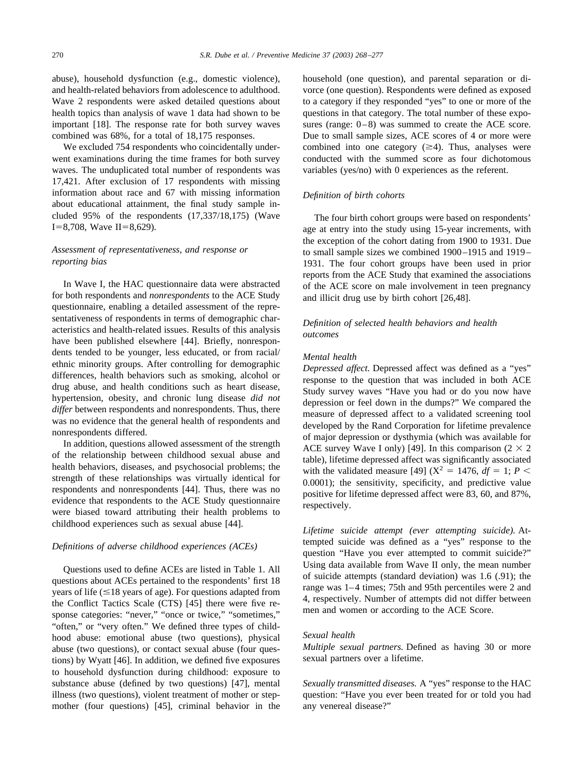abuse), household dysfunction (e.g., domestic violence), and health-related behaviors from adolescence to adulthood. Wave 2 respondents were asked detailed questions about health topics than analysis of wave 1 data had shown to be important [\[18\].](#page-7-0) The response rate for both survey waves combined was 68%, for a total of 18,175 responses.

We excluded 754 respondents who coincidentally underwent examinations during the time frames for both survey waves. The unduplicated total number of respondents was 17,421. After exclusion of 17 respondents with missing information about race and 67 with missing information about educational attainment, the final study sample included 95% of the respondents (17,337/18,175) (Wave  $I=8,708$ , Wave  $II=8,629$ ).

# *Assessment of representativeness, and response or reporting bias*

In Wave I, the HAC questionnaire data were abstracted for both respondents and *nonrespondents* to the ACE Study questionnaire, enabling a detailed assessment of the representativeness of respondents in terms of demographic characteristics and health-related issues. Results of this analysis have been published elsewhere [\[44\]](#page-8-0). Briefly, nonrespondents tended to be younger, less educated, or from racial/ ethnic minority groups. After controlling for demographic differences, health behaviors such as smoking, alcohol or drug abuse, and health conditions such as heart disease, hypertension, obesity, and chronic lung disease *did not differ* between respondents and nonrespondents. Thus, there was no evidence that the general health of respondents and nonrespondents differed.

In addition, questions allowed assessment of the strength of the relationship between childhood sexual abuse and health behaviors, diseases, and psychosocial problems; the strength of these relationships was virtually identical for respondents and nonrespondents [\[44\]](#page-8-0). Thus, there was no evidence that respondents to the ACE Study questionnaire were biased toward attributing their health problems to childhood experiences such as sexual abuse [\[44\]](#page-8-0).

# *Definitions of adverse childhood experiences (ACEs)*

Questions used to define ACEs are listed in [Table 1](#page-3-0). All questions about ACEs pertained to the respondents' first 18 years of life ( $\leq$ 18 years of age). For questions adapted from the Conflict Tactics Scale (CTS) [\[45\]](#page-8-0) there were five response categories: "never," "once or twice," "sometimes," "often," or "very often." We defined three types of childhood abuse: emotional abuse (two questions), physical abuse (two questions), or contact sexual abuse (four questions) by Wyatt [\[46\].](#page-8-0) In addition, we defined five exposures to household dysfunction during childhood: exposure to substance abuse (defined by two questions) [\[47\]](#page-8-0), mental illness (two questions), violent treatment of mother or stepmother (four questions) [\[45\]](#page-8-0), criminal behavior in the household (one question), and parental separation or divorce (one question). Respondents were defined as exposed to a category if they responded "yes" to one or more of the questions in that category. The total number of these exposures (range: 0–8) was summed to create the ACE score. Due to small sample sizes, ACE scores of 4 or more were combined into one category  $(\geq 4)$ . Thus, analyses were conducted with the summed score as four dichotomous variables (yes/no) with 0 experiences as the referent.

# *Definition of birth cohorts*

The four birth cohort groups were based on respondents' age at entry into the study using 15-year increments, with the exception of the cohort dating from 1900 to 1931. Due to small sample sizes we combined 1900–1915 and 1919– 1931. The four cohort groups have been used in prior reports from the ACE Study that examined the associations of the ACE score on male involvement in teen pregnancy and illicit drug use by birth cohort [\[26,48\].](#page-8-0)

# *Definition of selected health behaviors and health outcomes*

#### *Mental health*

*Depressed affect.* Depressed affect was defined as a "yes" response to the question that was included in both ACE Study survey waves "Have you had or do you now have depression or feel down in the dumps?" We compared the measure of depressed affect to a validated screening tool developed by the Rand Corporation for lifetime prevalence of major depression or dysthymia (which was available for ACE survey Wave I only) [\[49\].](#page-8-0) In this comparison ( $2 \times 2$ table), lifetime depressed affect was significantly associated with the validated measure [\[49\]](#page-8-0) ( $X^2 = 1476$ , *df* = 1; *P* < 0.0001); the sensitivity, specificity, and predictive value positive for lifetime depressed affect were 83, 60, and 87%, respectively.

*Lifetime suicide attempt (ever attempting suicide).* Attempted suicide was defined as a "yes" response to the question "Have you ever attempted to commit suicide?" Using data available from Wave II only, the mean number of suicide attempts (standard deviation) was 1.6 (.91); the range was 1–4 times; 75th and 95th percentiles were 2 and 4, respectively. Number of attempts did not differ between men and women or according to the ACE Score.

#### *Sexual health*

*Multiple sexual partners.* Defined as having 30 or more sexual partners over a lifetime.

*Sexually transmitted diseases.* A "yes" response to the HAC question: "Have you ever been treated for or told you had any venereal disease?"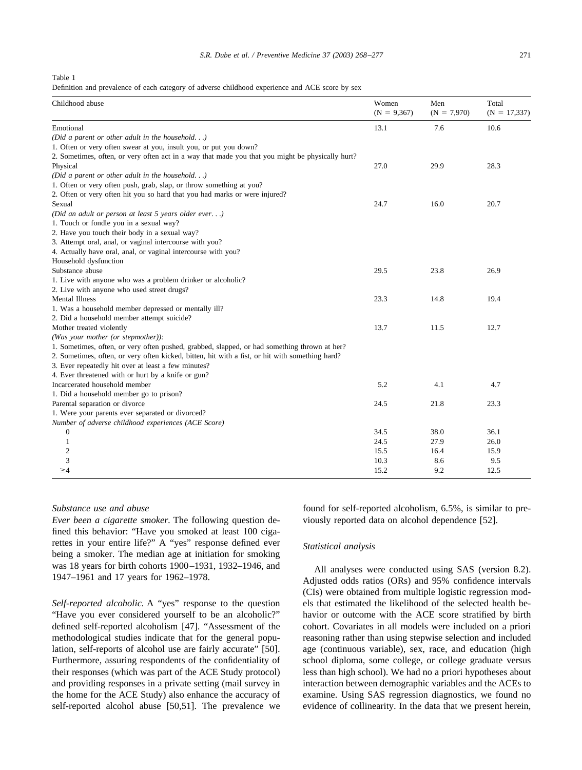<span id="page-3-0"></span>Table 1

Definition and prevalence of each category of adverse childhood experience and ACE score by sex

| Childhood abuse                                                                                  | Women<br>$(N = 9,367)$ | Men<br>$(N = 7,970)$ | Total<br>$(N = 17,337)$ |
|--------------------------------------------------------------------------------------------------|------------------------|----------------------|-------------------------|
| Emotional                                                                                        | 13.1                   | 7.6                  | 10.6                    |
| (Did a parent or other adult in the household)                                                   |                        |                      |                         |
| 1. Often or very often swear at you, insult you, or put you down?                                |                        |                      |                         |
| 2. Sometimes, often, or very often act in a way that made you that you might be physically hurt? |                        |                      |                         |
| Physical                                                                                         | 27.0                   | 29.9                 | 28.3                    |
| (Did a parent or other adult in the household)                                                   |                        |                      |                         |
| 1. Often or very often push, grab, slap, or throw something at you?                              |                        |                      |                         |
| 2. Often or very often hit you so hard that you had marks or were injured?                       |                        |                      |                         |
| Sexual                                                                                           | 24.7                   | 16.0                 | 20.7                    |
| (Did an adult or person at least 5 years older ever)                                             |                        |                      |                         |
| 1. Touch or fondle you in a sexual way?                                                          |                        |                      |                         |
| 2. Have you touch their body in a sexual way?                                                    |                        |                      |                         |
| 3. Attempt oral, anal, or vaginal intercourse with you?                                          |                        |                      |                         |
| 4. Actually have oral, anal, or vaginal intercourse with you?                                    |                        |                      |                         |
| Household dysfunction                                                                            |                        |                      |                         |
| Substance abuse                                                                                  | 29.5                   | 23.8                 | 26.9                    |
| 1. Live with anyone who was a problem drinker or alcoholic?                                      |                        |                      |                         |
| 2. Live with anyone who used street drugs?                                                       |                        |                      |                         |
| <b>Mental Illness</b>                                                                            | 23.3                   | 14.8                 | 19.4                    |
| 1. Was a household member depressed or mentally ill?                                             |                        |                      |                         |
| 2. Did a household member attempt suicide?                                                       |                        |                      |                         |
| Mother treated violently                                                                         | 13.7                   | 11.5                 | 12.7                    |
| (Was your mother (or stepmother)):                                                               |                        |                      |                         |
| 1. Sometimes, often, or very often pushed, grabbed, slapped, or had something thrown at her?     |                        |                      |                         |
| 2. Sometimes, often, or very often kicked, bitten, hit with a fist, or hit with something hard?  |                        |                      |                         |
| 3. Ever repeatedly hit over at least a few minutes?                                              |                        |                      |                         |
| 4. Ever threatened with or hurt by a knife or gun?                                               |                        |                      |                         |
| Incarcerated household member                                                                    | 5.2                    | 4.1                  | 4.7                     |
| 1. Did a household member go to prison?                                                          |                        |                      |                         |
| Parental separation or divorce                                                                   | 24.5                   | 21.8                 | 23.3                    |
| 1. Were your parents ever separated or divorced?                                                 |                        |                      |                         |
| Number of adverse childhood experiences (ACE Score)                                              |                        |                      |                         |
| $\boldsymbol{0}$                                                                                 | 34.5                   | 38.0                 | 36.1                    |
| $\mathbf{1}$                                                                                     | 24.5                   | 27.9                 | 26.0                    |
| $\mathfrak{2}$                                                                                   | 15.5                   | 16.4                 | 15.9                    |
| 3                                                                                                | 10.3                   | 8.6                  | 9.5                     |
| $\geq 4$                                                                                         | 15.2                   | 9.2                  | 12.5                    |

#### *Substance use and abuse*

*Ever been a cigarette smoker.* The following question defined this behavior: "Have you smoked at least 100 cigarettes in your entire life?" A "yes" response defined ever being a smoker. The median age at initiation for smoking was 18 years for birth cohorts 1900–1931, 1932–1946, and 1947–1961 and 17 years for 1962–1978.

*Self-reported alcoholic.* A "yes" response to the question "Have you ever considered yourself to be an alcoholic?" defined self-reported alcoholism [\[47\].](#page-8-0) "Assessment of the methodological studies indicate that for the general population, self-reports of alcohol use are fairly accurate" [\[50\]](#page-8-0). Furthermore, assuring respondents of the confidentiality of their responses (which was part of the ACE Study protocol) and providing responses in a private setting (mail survey in the home for the ACE Study) also enhance the accuracy of self-reported alcohol abuse [\[50,51\]](#page-8-0). The prevalence we found for self-reported alcoholism, 6.5%, is similar to previously reported data on alcohol dependence [\[52\]](#page-8-0).

# *Statistical analysis*

All analyses were conducted using SAS (version 8.2). Adjusted odds ratios (ORs) and 95% confidence intervals (CIs) were obtained from multiple logistic regression models that estimated the likelihood of the selected health behavior or outcome with the ACE score stratified by birth cohort. Covariates in all models were included on a priori reasoning rather than using stepwise selection and included age (continuous variable), sex, race, and education (high school diploma, some college, or college graduate versus less than high school). We had no a priori hypotheses about interaction between demographic variables and the ACEs to examine. Using SAS regression diagnostics, we found no evidence of collinearity. In the data that we present herein,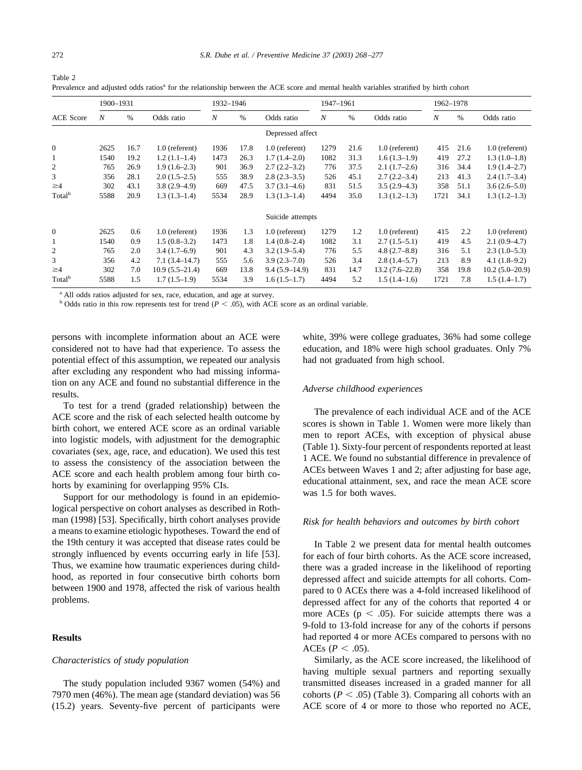<span id="page-4-0"></span>

| Table 2                                                                                                                                            |  |  |
|----------------------------------------------------------------------------------------------------------------------------------------------------|--|--|
| Prevalence and adjusted odds ratios <sup>a</sup> for the relationship between the ACE score and mental health variables stratified by birth cohort |  |  |

|                    | 1900-1931 |      |                   | 1932-1946        |      |                  | 1947-1961        |      |                  | 1962-1978 |      |                  |
|--------------------|-----------|------|-------------------|------------------|------|------------------|------------------|------|------------------|-----------|------|------------------|
| <b>ACE</b> Score   | N         | $\%$ | Odds ratio        | $\boldsymbol{N}$ | $\%$ | Odds ratio       | $\boldsymbol{N}$ | $\%$ | Odds ratio       | N         | $\%$ | Odds ratio       |
|                    |           |      |                   |                  |      | Depressed affect |                  |      |                  |           |      |                  |
| $\mathbf{0}$       | 2625      | 16.7 | 1.0 (referent)    | 1936             | 17.8 | 1.0 (referent)   | 1279             | 21.6 | $1.0$ (referent) | 415       | 21.6 | $1.0$ (referent) |
| $\mathbf{1}$       | 1540      | 19.2 | $1.2(1.1-1.4)$    | 1473             | 26.3 | $1.7(1.4-2.0)$   | 1082             | 31.3 | $1.6(1.3-1.9)$   | 419       | 27.2 | $1.3(1.0-1.8)$   |
| 2                  | 765       | 26.9 | $1.9(1.6-2.3)$    | 901              | 36.9 | $2.7(2.2 - 3.2)$ | 776              | 37.5 | $2.1(1.7-2.6)$   | 316       | 34.4 | $1.9(1.4-2.7)$   |
| 3                  | 356       | 28.1 | $2.0(1.5-2.5)$    | 555              | 38.9 | $2.8(2.3-3.5)$   | 526              | 45.1 | $2.7(2.2 - 3.4)$ | 213       | 41.3 | $2.4(1.7-3.4)$   |
| $\geq 4$           | 302       | 43.1 | $3.8(2.9-4.9)$    | 669              | 47.5 | $3.7(3.1 - 4.6)$ | 831              | 51.5 | $3.5(2.9-4.3)$   | 358       | 51.1 | $3.6(2.6-5.0)$   |
| Total <sup>b</sup> | 5588      | 20.9 | $1.3(1.3-1.4)$    | 5534             | 28.9 | $1.3(1.3-1.4)$   | 4494             | 35.0 | $1.3(1.2-1.3)$   | 1721      | 34.1 | $1.3(1.2-1.3)$   |
|                    |           |      |                   |                  |      | Suicide attempts |                  |      |                  |           |      |                  |
| $\mathbf{0}$       | 2625      | 0.6  | 1.0 (referent)    | 1936             | 1.3  | 1.0 (referent)   | 1279             | 1.2  | $1.0$ (referent) | 415       | 2.2  | $1.0$ (referent) |
| 1                  | 1540      | 0.9  | $1.5(0.8-3.2)$    | 1473             | 1.8  | $1.4(0.8-2.4)$   | 1082             | 3.1  | $2.7(1.5-5.1)$   | 419       | 4.5  | $2.1(0.9-4.7)$   |
| 2                  | 765       | 2.0  | $3.4(1.7-6.9)$    | 901              | 4.3  | $3.2(1.9-5.4)$   | 776              | 5.5  | $4.8(2.7 - 8.8)$ | 316       | 5.1  | $2.3(1.0-5.3)$   |
| 3                  | 356       | 4.2  | $7.1(3.4 - 14.7)$ | 555              | 5.6  | $3.9(2.3-7.0)$   | 526              | 3.4  | $2.8(1.4-5.7)$   | 213       | 8.9  | $4.1(1.8-9.2)$   |
| $\geq 4$           | 302       | 7.0  | $10.9(5.5-21.4)$  | 669              | 13.8 | $9.4(5.9-14.9)$  | 831              | 14.7 | $13.2(7.6-22.8)$ | 358       | 19.8 | $10.2(5.0-20.9)$ |
| Total <sup>b</sup> | 5588      | 1.5  | $1.7(1.5-1.9)$    | 5534             | 3.9  | $1.6(1.5-1.7)$   | 4494             | 5.2  | $1.5(1.4-1.6)$   | 1721      | 7.8  | $1.5(1.4-1.7)$   |

<sup>a</sup> All odds ratios adjusted for sex, race, education, and age at survey.

 $<sup>b</sup>$  Odds ratio in this row represents test for trend ( $P < .05$ ), with ACE score as an ordinal variable.</sup>

persons with incomplete information about an ACE were considered not to have had that experience. To assess the potential effect of this assumption, we repeated our analysis after excluding any respondent who had missing information on any ACE and found no substantial difference in the results.

To test for a trend (graded relationship) between the ACE score and the risk of each selected health outcome by birth cohort, we entered ACE score as an ordinal variable into logistic models, with adjustment for the demographic covariates (sex, age, race, and education). We used this test to assess the consistency of the association between the ACE score and each health problem among four birth cohorts by examining for overlapping 95% CIs.

Support for our methodology is found in an epidemiological perspective on cohort analyses as described in Rothman (1998) [\[53\]](#page-8-0). Specifically, birth cohort analyses provide a means to examine etiologic hypotheses. Toward the end of the 19th century it was accepted that disease rates could be strongly influenced by events occurring early in life [\[53\]](#page-8-0). Thus, we examine how traumatic experiences during childhood, as reported in four consecutive birth cohorts born between 1900 and 1978, affected the risk of various health problems.

## **Results**

## *Characteristics of study population*

The study population included 9367 women (54%) and 7970 men (46%). The mean age (standard deviation) was 56 (15.2) years. Seventy-five percent of participants were

white, 39% were college graduates, 36% had some college education, and 18% were high school graduates. Only 7% had not graduated from high school.

#### *Adverse childhood experiences*

The prevalence of each individual ACE and of the ACE scores is shown in [Table 1](#page-3-0). Women were more likely than men to report ACEs, with exception of physical abuse [\(Table 1\)](#page-3-0). Sixty-four percent of respondents reported at least 1 ACE. We found no substantial difference in prevalence of ACEs between Waves 1 and 2; after adjusting for base age, educational attainment, sex, and race the mean ACE score was 1.5 for both waves.

#### *Risk for health behaviors and outcomes by birth cohort*

In Table 2 we present data for mental health outcomes for each of four birth cohorts. As the ACE score increased, there was a graded increase in the likelihood of reporting depressed affect and suicide attempts for all cohorts. Compared to 0 ACEs there was a 4-fold increased likelihood of depressed affect for any of the cohorts that reported 4 or more ACEs ( $p < .05$ ). For suicide attempts there was a 9-fold to 13-fold increase for any of the cohorts if persons had reported 4 or more ACEs compared to persons with no ACEs ( $P < .05$ ).

Similarly, as the ACE score increased, the likelihood of having multiple sexual partners and reporting sexually transmitted diseases increased in a graded manner for all cohorts ( $P < .05$ ) [\(Table 3](#page-5-0)). Comparing all cohorts with an ACE score of 4 or more to those who reported no ACE,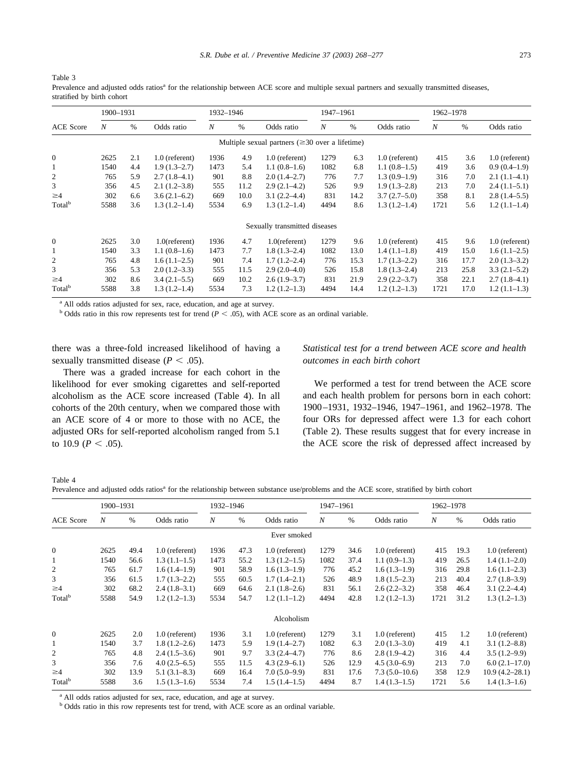<span id="page-5-0"></span>Table 3 Prevalence and adjusted odds ratios<sup>a</sup> for the relationship between ACE score and multiple sexual partners and sexually transmitted diseases, stratified by birth cohort

|                    | 1900-1931        |      |                  | 1932-1946        |      |                                                      | 1947-1961        |      |                  | 1962-1978        |      |                  |
|--------------------|------------------|------|------------------|------------------|------|------------------------------------------------------|------------------|------|------------------|------------------|------|------------------|
| <b>ACE</b> Score   | $\boldsymbol{N}$ | $\%$ | Odds ratio       | $\boldsymbol{N}$ | $\%$ | Odds ratio                                           | $\boldsymbol{N}$ | $\%$ | Odds ratio       | $\boldsymbol{N}$ | $\%$ | Odds ratio       |
|                    |                  |      |                  |                  |      | Multiple sexual partners $(\geq 30$ over a lifetime) |                  |      |                  |                  |      |                  |
| $\mathbf{0}$       | 2625             | 2.1  | $1.0$ (referent) | 1936             | 4.9  | $1.0$ (referent)                                     | 1279             | 6.3  | $1.0$ (referent) | 415              | 3.6  | $1.0$ (referent) |
|                    | 1540             | 4.4  | $1.9(1.3-2.7)$   | 1473             | 5.4  | $1.1(0.8-1.6)$                                       | 1082             | 6.8  | $1.1(0.8-1.5)$   | 419              | 3.6  | $0.9(0.4-1.9)$   |
| $\mathfrak{2}$     | 765              | 5.9  | $2.7(1.8-4.1)$   | 901              | 8.8  | $2.0(1.4-2.7)$                                       | 776              | 7.7  | $1.3(0.9-1.9)$   | 316              | 7.0  | $2.1(1.1-4.1)$   |
| 3                  | 356              | 4.5  | $2.1(1.2-3.8)$   | 555              | 11.2 | $2.9(2.1-4.2)$                                       | 526              | 9.9  | $1.9(1.3-2.8)$   | 213              | 7.0  | $2.4(1.1-5.1)$   |
| $\geq 4$           | 302              | 6.6  | $3.6(2.1-6.2)$   | 669              | 10.0 | $3.1(2.2 - 4.4)$                                     | 831              | 14.2 | $3.7(2.7-5.0)$   | 358              | 8.1  | $2.8(1.4-5.5)$   |
| Total <sup>b</sup> | 5588             | 3.6  | $1.3(1.2-1.4)$   | 5534             | 6.9  | $1.3(1.2-1.4)$                                       | 4494             | 8.6  | $1.3(1.2-1.4)$   | 1721             | 5.6  | $1.2(1.1-1.4)$   |
|                    |                  |      |                  |                  |      | Sexually transmitted diseases                        |                  |      |                  |                  |      |                  |
| $\mathbf{0}$       | 2625             | 3.0  | $1.0$ (referent) | 1936             | 4.7  | $1.0$ (referent)                                     | 1279             | 9.6  | $1.0$ (referent) | 415              | 9.6  | $1.0$ (referent) |
| $\mathbf{1}$       | 1540             | 3.3  | $1.1(0.8-1.6)$   | 1473             | 7.7  | $1.8(1.3-2.4)$                                       | 1082             | 13.0 | $1.4(1.1-1.8)$   | 419              | 15.0 | $1.6(1.1-2.5)$   |
| $\mathfrak{2}$     | 765              | 4.8  | $1.6(1.1-2.5)$   | 901              | 7.4  | $1.7(1.2 - 2.4)$                                     | 776              | 15.3 | $1.7(1.3-2.2)$   | 316              | 17.7 | $2.0(1.3-3.2)$   |
| 3                  | 356              | 5.3  | $2.0(1.2-3.3)$   | 555              | 11.5 | $2.9(2.0-4.0)$                                       | 526              | 15.8 | $1.8(1.3-2.4)$   | 213              | 25.8 | $3.3(2.1-5.2)$   |
| $\geq 4$           | 302              | 8.6  | $3.4(2.1-5.5)$   | 669              | 10.2 | $2.6(1.9-3.7)$                                       | 831              | 21.9 | $2.9(2.2 - 3.7)$ | 358              | 22.1 | $2.7(1.8-4.1)$   |
| Total <sup>b</sup> | 5588             | 3.8  | $1.3(1.2-1.4)$   | 5534             | 7.3  | $1.2(1.2-1.3)$                                       | 4494             | 14.4 | $1.2(1.2-1.3)$   | 1721             | 17.0 | $1.2(1.1-1.3)$   |

<sup>a</sup> All odds ratios adjusted for sex, race, education, and age at survey.

 $b$  Odds ratio in this row represents test for trend ( $P < .05$ ), with ACE score as an ordinal variable.

there was a three-fold increased likelihood of having a sexually transmitted disease  $(P < .05)$ .

# *Statistical test for a trend between ACE score and health outcomes in each birth cohort*

There was a graded increase for each cohort in the likelihood for ever smoking cigarettes and self-reported alcoholism as the ACE score increased (Table 4). In all cohorts of the 20th century, when we compared those with an ACE score of 4 or more to those with no ACE, the adjusted ORs for self-reported alcoholism ranged from 5.1 to 10.9 ( $P < .05$ ).

We performed a test for trend between the ACE score and each health problem for persons born in each cohort: 1900–1931, 1932–1946, 1947–1961, and 1962–1978. The four ORs for depressed affect were 1.3 for each cohort [\(Table 2\)](#page-4-0). These results suggest that for every increase in the ACE score the risk of depressed affect increased by

Table 4

Prevalence and adjusted odds ratios<sup>a</sup> for the relationship between substance use/problems and the ACE score, stratified by birth cohort

|                    |      | 1900-1931 |                  |                  | 1932-1946 |                  |                  | 1947-1961 |                  |                  | 1962-1978 |                    |  |
|--------------------|------|-----------|------------------|------------------|-----------|------------------|------------------|-----------|------------------|------------------|-----------|--------------------|--|
| <b>ACE</b> Score   | N    | $\%$      | Odds ratio       | $\boldsymbol{N}$ | $\%$      | Odds ratio       | $\boldsymbol{N}$ | $\%$      | Odds ratio       | $\boldsymbol{N}$ | $\%$      | Odds ratio         |  |
|                    |      |           |                  |                  |           | Ever smoked      |                  |           |                  |                  |           |                    |  |
| $\mathbf{0}$       | 2625 | 49.4      | $1.0$ (referent) | 1936             | 47.3      | $1.0$ (referent) | 1279             | 34.6      | $1.0$ (referent) | 415              | 19.3      | $1.0$ (referent)   |  |
| 1                  | 1540 | 56.6      | $1.3(1.1-1.5)$   | 1473             | 55.2      | $1.3(1.2-1.5)$   | 1082             | 37.4      | $1.1(0.9-1.3)$   | 419              | 26.5      | $1.4(1.1-2.0)$     |  |
| 2                  | 765  | 61.7      | $1.6(1.4-1.9)$   | 901              | 58.9      | $1.6(1.3-1.9)$   | 776              | 45.2      | $1.6(1.3-1.9)$   | 316              | 29.8      | $1.6(1.1-2.3)$     |  |
| 3                  | 356  | 61.5      | $1.7(1.3-2.2)$   | 555              | 60.5      | $1.7(1.4-2.1)$   | 526              | 48.9      | $1.8(1.5-2.3)$   | 213              | 40.4      | $2.7(1.8-3.9)$     |  |
| $\geq 4$           | 302  | 68.2      | $2.4(1.8-3.1)$   | 669              | 64.6      | $2.1(1.8-2.6)$   | 831              | 56.1      | $2.6(2.2 - 3.2)$ | 358              | 46.4      | $3.1(2.2 - 4.4)$   |  |
| Total <sup>b</sup> | 5588 | 54.9      | $1.2(1.2-1.3)$   | 5534             | 54.7      | $1.2(1.1-1.2)$   | 4494             | 42.8      | $1.2(1.2-1.3)$   | 1721             | 31.2      | $1.3(1.2-1.3)$     |  |
|                    |      |           |                  |                  |           | Alcoholism       |                  |           |                  |                  |           |                    |  |
| $\mathbf{0}$       | 2625 | 2.0       | $1.0$ (referent) | 1936             | 3.1       | 1.0 (referent)   | 1279             | 3.1       | $1.0$ (referent) | 415              | 1.2       | $1.0$ (referent)   |  |
| $\mathbf{1}$       | 1540 | 3.7       | $1.8(1.2-2.6)$   | 1473             | 5.9       | $1.9(1.4-2.7)$   | 1082             | 6.3       | $2.0(1.3-3.0)$   | 419              | 4.1       | $3.1(1.2 - 8.8)$   |  |
| 2                  | 765  | 4.8       | $2.4(1.5-3.6)$   | 901              | 9.7       | $3.3(2.4 - 4.7)$ | 776              | 8.6       | $2.8(1.9-4.2)$   | 316              | 4.4       | $3.5(1.2 - 9.9)$   |  |
| 3                  | 356  | 7.6       | $4.0(2.5-6.5)$   | 555              | 11.5      | $4.3(2.9-6.1)$   | 526              | 12.9      | $4.5(3.0-6.9)$   | 213              | 7.0       | $6.0(2.1-17.0)$    |  |
| $\geq 4$           | 302  | 13.9      | $5.1(3.1 - 8.3)$ | 669              | 16.4      | $7.0(5.0-9.9)$   | 831              | 17.6      | $7.3(5.0-10.6)$  | 358              | 12.9      | $10.9(4.2 - 28.1)$ |  |
| Total <sup>b</sup> | 5588 | 3.6       | $1.5(1.3-1.6)$   | 5534             | 7.4       | $1.5(1.4-1.5)$   | 4494             | 8.7       | $1.4(1.3-1.5)$   | 1721             | 5.6       | $1.4(1.3-1.6)$     |  |

<sup>a</sup> All odds ratios adjusted for sex, race, education, and age at survey.

<sup>b</sup> Odds ratio in this row represents test for trend, with ACE score as an ordinal variable.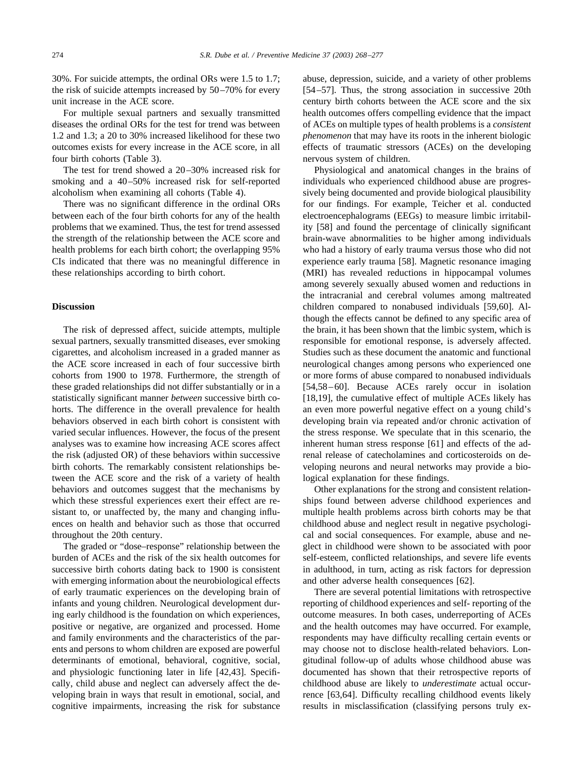30%. For suicide attempts, the ordinal ORs were 1.5 to 1.7; the risk of suicide attempts increased by 50–70% for every unit increase in the ACE score.

For multiple sexual partners and sexually transmitted diseases the ordinal ORs for the test for trend was between 1.2 and 1.3; a 20 to 30% increased likelihood for these two outcomes exists for every increase in the ACE score, in all four birth cohorts ([Table 3](#page-5-0)).

The test for trend showed a 20–30% increased risk for smoking and a 40–50% increased risk for self-reported alcoholism when examining all cohorts ([Table 4\)](#page-5-0).

There was no significant difference in the ordinal ORs between each of the four birth cohorts for any of the health problems that we examined. Thus, the test for trend assessed the strength of the relationship between the ACE score and health problems for each birth cohort; the overlapping 95% CIs indicated that there was no meaningful difference in these relationships according to birth cohort.

# **Discussion**

The risk of depressed affect, suicide attempts, multiple sexual partners, sexually transmitted diseases, ever smoking cigarettes, and alcoholism increased in a graded manner as the ACE score increased in each of four successive birth cohorts from 1900 to 1978. Furthermore, the strength of these graded relationships did not differ substantially or in a statistically significant manner *between* successive birth cohorts. The difference in the overall prevalence for health behaviors observed in each birth cohort is consistent with varied secular influences. However, the focus of the present analyses was to examine how increasing ACE scores affect the risk (adjusted OR) of these behaviors within successive birth cohorts. The remarkably consistent relationships between the ACE score and the risk of a variety of health behaviors and outcomes suggest that the mechanisms by which these stressful experiences exert their effect are resistant to, or unaffected by, the many and changing influences on health and behavior such as those that occurred throughout the 20th century.

The graded or "dose–response" relationship between the burden of ACEs and the risk of the six health outcomes for successive birth cohorts dating back to 1900 is consistent with emerging information about the neurobiological effects of early traumatic experiences on the developing brain of infants and young children. Neurological development during early childhood is the foundation on which experiences, positive or negative, are organized and processed. Home and family environments and the characteristics of the parents and persons to whom children are exposed are powerful determinants of emotional, behavioral, cognitive, social, and physiologic functioning later in life [\[42,43\].](#page-8-0) Specifically, child abuse and neglect can adversely affect the developing brain in ways that result in emotional, social, and cognitive impairments, increasing the risk for substance abuse, depression, suicide, and a variety of other problems [\[54–57\].](#page-8-0) Thus, the strong association in successive 20th century birth cohorts between the ACE score and the six health outcomes offers compelling evidence that the impact of ACEs on multiple types of health problems is a *consistent phenomenon* that may have its roots in the inherent biologic effects of traumatic stressors (ACEs) on the developing nervous system of children.

Physiological and anatomical changes in the brains of individuals who experienced childhood abuse are progressively being documented and provide biological plausibility for our findings. For example, Teicher et al. conducted electroencephalograms (EEGs) to measure limbic irritability [\[58\]](#page-8-0) and found the percentage of clinically significant brain-wave abnormalities to be higher among individuals who had a history of early trauma versus those who did not experience early trauma [\[58\]](#page-8-0). Magnetic resonance imaging (MRI) has revealed reductions in hippocampal volumes among severely sexually abused women and reductions in the intracranial and cerebral volumes among maltreated children compared to nonabused individuals [\[59,60\]](#page-8-0). Although the effects cannot be defined to any specific area of the brain, it has been shown that the limbic system, which is responsible for emotional response, is adversely affected. Studies such as these document the anatomic and functional neurological changes among persons who experienced one or more forms of abuse compared to nonabused individuals [\[54,58–60\]](#page-8-0). Because ACEs rarely occur in isolation [\[18,19\],](#page-7-0) the cumulative effect of multiple ACEs likely has an even more powerful negative effect on a young child's developing brain via repeated and/or chronic activation of the stress response. We speculate that in this scenario, the inherent human stress response [\[61\]](#page-8-0) and effects of the adrenal release of catecholamines and corticosteroids on developing neurons and neural networks may provide a biological explanation for these findings.

Other explanations for the strong and consistent relationships found between adverse childhood experiences and multiple health problems across birth cohorts may be that childhood abuse and neglect result in negative psychological and social consequences. For example, abuse and neglect in childhood were shown to be associated with poor self-esteem, conflicted relationships, and severe life events in adulthood, in turn, acting as risk factors for depression and other adverse health consequences [\[62\].](#page-9-0)

There are several potential limitations with retrospective reporting of childhood experiences and self- reporting of the outcome measures. In both cases, underreporting of ACEs and the health outcomes may have occurred. For example, respondents may have difficulty recalling certain events or may choose not to disclose health-related behaviors. Longitudinal follow-up of adults whose childhood abuse was documented has shown that their retrospective reports of childhood abuse are likely to *underestimate* actual occurrence [\[63,64\].](#page-9-0) Difficulty recalling childhood events likely results in misclassification (classifying persons truly ex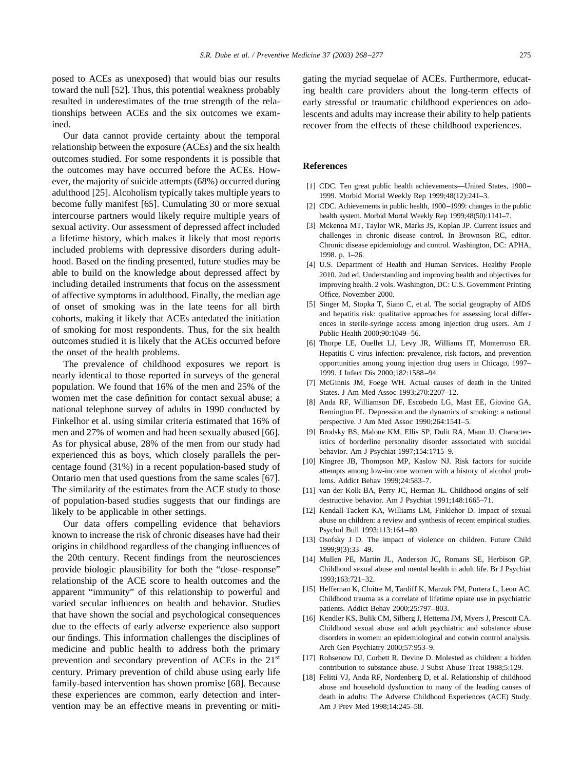<span id="page-7-0"></span>posed to ACEs as unexposed) that would bias our results toward the null [\[52\]](#page-8-0). Thus, this potential weakness probably resulted in underestimates of the true strength of the relationships between ACEs and the six outcomes we examined.

Our data cannot provide certainty about the temporal relationship between the exposure (ACEs) and the six health outcomes studied. For some respondents it is possible that the outcomes may have occurred before the ACEs. However, the majority of suicide attempts (68%) occurred during adulthood [\[25\].](#page-8-0) Alcoholism typically takes multiple years to become fully manifest [\[65\]](#page-9-0). Cumulating 30 or more sexual intercourse partners would likely require multiple years of sexual activity. Our assessment of depressed affect included a lifetime history, which makes it likely that most reports included problems with depressive disorders during adulthood. Based on the finding presented, future studies may be able to build on the knowledge about depressed affect by including detailed instruments that focus on the assessment of affective symptoms in adulthood. Finally, the median age of onset of smoking was in the late teens for all birth cohorts, making it likely that ACEs antedated the initiation of smoking for most respondents. Thus, for the six health outcomes studied it is likely that the ACEs occurred before the onset of the health problems.

The prevalence of childhood exposures we report is nearly identical to those reported in surveys of the general population. We found that 16% of the men and 25% of the women met the case definition for contact sexual abuse; a national telephone survey of adults in 1990 conducted by Finkelhor et al. using similar criteria estimated that 16% of men and 27% of women and had been sexually abused [\[66\]](#page-9-0). As for physical abuse, 28% of the men from our study had experienced this as boys, which closely parallels the percentage found (31%) in a recent population-based study of Ontario men that used questions from the same scales [\[67\]](#page-9-0). The similarity of the estimates from the ACE study to those of population-based studies suggests that our findings are likely to be applicable in other settings.

Our data offers compelling evidence that behaviors known to increase the risk of chronic diseases have had their origins in childhood regardless of the changing influences of the 20th century. Recent findings from the neurosciences provide biologic plausibility for both the "dose–response" relationship of the ACE score to health outcomes and the apparent "immunity" of this relationship to powerful and varied secular influences on health and behavior. Studies that have shown the social and psychological consequences due to the effects of early adverse experience also support our findings. This information challenges the disciplines of medicine and public health to address both the primary prevention and secondary prevention of ACEs in the 21<sup>st</sup> century. Primary prevention of child abuse using early life family-based intervention has shown promise [\[68\]](#page-9-0). Because these experiences are common, early detection and intervention may be an effective means in preventing or mitigating the myriad sequelae of ACEs. Furthermore, educating health care providers about the long-term effects of early stressful or traumatic childhood experiences on adolescents and adults may increase their ability to help patients recover from the effects of these childhood experiences.

#### **References**

- [1] CDC. Ten great public health achievements—United States, 1900– 1999. Morbid Mortal Weekly Rep 1999;48(12):241–3.
- [2] CDC. Achievements in public health, 1900–1999: changes in the public health system. Morbid Mortal Weekly Rep 1999;48(50):1141-7.
- [3] Mckenna MT, Taylor WR, Marks JS, Koplan JP. Current issues and challenges in chronic disease control. In Brownson RC, editor. Chronic disease epidemiology and control. Washington, DC: APHA, 1998. p. 1–26.
- [4] U.S. Department of Health and Human Services. Healthy People 2010. 2nd ed. Understanding and improving health and objectives for improving health. 2 vols. Washington, DC: U.S. Government Printing Office, November 2000.
- [5] Singer M, Stopka T, Siano C, et al. The social geography of AIDS and hepatitis risk: qualitative approaches for assessing local differences in sterile-syringe access among injection drug users. Am J Public Health 2000;90:1049–56.
- [6] Thorpe LE, Ouellet LJ, Levy JR, Williams IT, Monterroso ER. Hepatitis C virus infection: prevalence, risk factors, and prevention opportunities among young injection drug users in Chicago, 1997– 1999. J Infect Dis 2000;182:1588–94.
- [7] McGinnis JM, Foege WH. Actual causes of death in the United States. J Am Med Assoc 1993;270:2207–12.
- [8] Anda RF, Williamson DF, Escobedo LG, Mast EE, Giovino GA, Remington PL. Depression and the dynamics of smoking: a national perspective. J Am Med Assoc 1990;264:1541–5.
- [9] Brodsky BS, Malone KM, Ellis SP, Dulit RA, Mann JJ. Characteristics of borderline personality disorder asssociated with suicidal behavior. Am J Psychiat 1997;154:1715–9.
- [10] Kingree JB, Thompson MP, Kaslow NJ. Risk factors for suicide attempts among low-income women with a history of alcohol problems. Addict Behav 1999;24:583–7.
- [11] van der Kolk BA, Perry JC, Herman JL. Childhood origins of selfdestructive behavior. Am J Psychiat 1991;148:1665–71.
- [12] Kendall-Tackett KA, Williams LM, Finklehor D. Impact of sexual abuse on children: a review and synthesis of recent empirical studies. Psychol Bull 1993;113:164–80.
- [13] Osofsky J D. The impact of violence on children. Future Child 1999;9(3):33–49.
- [14] Mullen PE, Martin JL, Anderson JC, Romans SE, Herbison GP. Childhood sexual abuse and mental health in adult life. Br J Psychiat 1993;163:721–32.
- [15] Heffernan K, Cloitre M, Tardiff K, Marzuk PM, Portera L, Leon AC. Childhood trauma as a correlate of lifetime opiate use in psychiatric patients. Addict Behav 2000;25:797–803.
- [16] Kendler KS, Bulik CM, Silberg J, Hettema JM, Myers J, Prescott CA. Childhood sexual abuse and adult psychiatric and substance abuse disorders in women: an epidemiological and cotwin control analysis. Arch Gen Psychiatry 2000;57:953–9.
- [17] Rohsenow DJ, Corbett R, Devine D. Molested as children: a hidden contribution to substance abuse. J Subst Abuse Treat 1988;5:129.
- [18] Felitti VJ, Anda RF, Nordenberg D, et al. Relationship of childhood abuse and household dysfunction to many of the leading causes of death in adults: The Adverse Childhood Experiences (ACE) Study. Am J Prev Med 1998;14:245–58.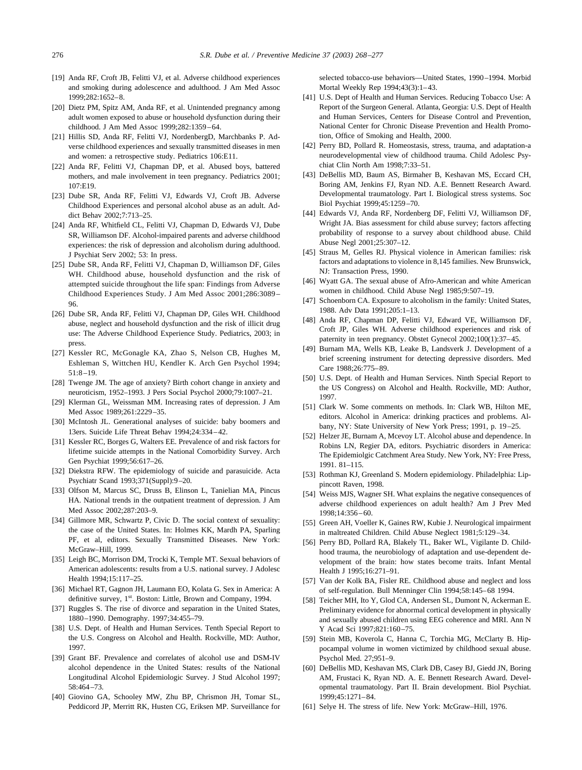- <span id="page-8-0"></span>[19] Anda RF, Croft JB, Felitti VJ, et al. Adverse childhood experiences and smoking during adolescence and adulthood. J Am Med Assoc 1999;282:1652–8.
- [20] Dietz PM, Spitz AM, Anda RF, et al. Unintended pregnancy among adult women exposed to abuse or household dysfunction during their childhood. J Am Med Assoc 1999;282:1359–64.
- [21] Hillis SD, Anda RF, Felitti VJ, NordenbergD, Marchbanks P. Adverse childhood experiences and sexually transmitted diseases in men and women: a retrospective study. Pediatrics 106:E11.
- [22] Anda RF, Felitti VJ, Chapman DP, et al. Abused boys, battered mothers, and male involvement in teen pregnancy. Pediatrics 2001; 107:E19.
- [23] Dube SR, Anda RF, Felitti VJ, Edwards VJ, Croft JB. Adverse Childhood Experiences and personal alcohol abuse as an adult. Addict Behav 2002;7:713–25.
- [24] Anda RF, Whitfield CL, Felitti VJ, Chapman D, Edwards VJ, Dube SR, Williamson DF. Alcohol-impaired parents and adverse childhood experiences: the risk of depression and alcoholism during adulthood. J Psychiat Serv 2002; 53: In press.
- [25] Dube SR, Anda RF, Felitti VJ, Chapman D, Williamson DF, Giles WH. Childhood abuse, household dysfunction and the risk of attempted suicide throughout the life span: Findings from Adverse Childhood Experiences Study. J Am Med Assoc 2001;286:3089 – 96.
- [26] Dube SR, Anda RF, Felitti VJ, Chapman DP, Giles WH. Childhood abuse, neglect and household dysfunction and the risk of illicit drug use: The Adverse Childhood Experience Study. Pediatrics, 2003; in press.
- [27] Kessler RC, McGonagle KA, Zhao S, Nelson CB, Hughes M, Eshleman S, Wittchen HU, Kendler K. Arch Gen Psychol 1994; 51:8 –19.
- [28] Twenge JM. The age of anxiety? Birth cohort change in anxiety and neuroticism, 1952–1993. J Pers Social Psychol 2000;79:1007–21.
- [29] Klerman GL, Weissman MM. Increasing rates of depression. J Am Med Assoc 1989;261:2229–35.
- [30] McIntosh JL. Generational analyses of suicide: baby boomers and 13ers. Suicide Life Threat Behav 1994;24:334–42.
- [31] Kessler RC, Borges G, Walters EE. Prevalence of and risk factors for lifetime suicide attempts in the National Comorbidity Survey. Arch Gen Psychiat 1999;56:617–26.
- [32] Diekstra RFW. The epidemiology of suicide and parasuicide. Acta Psychiatr Scand 1993;371(Suppl):9–20.
- [33] Olfson M, Marcus SC, Druss B, Elinson L, Tanielian MA, Pincus HA. National trends in the outpatient treatment of depression. J Am Med Assoc 2002;287:203–9.
- [34] Gillmore MR, Schwartz P, Civic D. The social context of sexuality: the case of the United States. In: Holmes KK, Mardh PA, Sparling PF, et al, editors. Sexually Transmitted Diseases. New York: McGraw–Hill, 1999.
- [35] Leigh BC, Morrison DM, Trocki K, Temple MT. Sexual behaviors of American adolescents: results from a U.S. national survey. J Adolesc Health 1994;15:117–25.
- [36] Michael RT, Gagnon JH, Laumann EO, Kolata G. Sex in America: A definitive survey, 1<sup>st</sup>. Boston: Little, Brown and Company, 1994.
- [37] Ruggles S. The rise of divorce and separation in the United States, 1880–1990. Demography. 1997;34:455–79.
- [38] U.S. Dept. of Health and Human Services. Tenth Special Report to the U.S. Congress on Alcohol and Health. Rockville, MD: Author, 1997.
- [39] Grant BF. Prevalence and correlates of alcohol use and DSM-IV alcohol dependence in the United States: results of the National Longitudinal Alcohol Epidemiologic Survey. J Stud Alcohol 1997; 58:464–73.
- [40] Giovino GA, Schooley MW, Zhu BP, Chrismon JH, Tomar SL, Peddicord JP, Merritt RK, Husten CG, Eriksen MP. Surveillance for

selected tobacco-use behaviors—United States, 1990–1994. Morbid Mortal Weekly Rep 1994;43(3):1–43.

- [41] U.S. Dept of Health and Human Services. Reducing Tobacco Use: A Report of the Surgeon General. Atlanta, Georgia: U.S. Dept of Health and Human Services, Centers for Disease Control and Prevention, National Center for Chronic Disease Prevention and Health Promotion, Office of Smoking and Health, 2000.
- [42] Perry BD, Pollard R. Homeostasis, stress, trauma, and adaptation-a neurodevelopmental view of childhood trauma. Child Adolesc Psychiat Clin North Am 1998;7:33–51.
- [43] DeBellis MD, Baum AS, Birmaher B, Keshavan MS, Eccard CH, Boring AM, Jenkins FJ, Ryan ND. A.E. Bennett Research Award. Developmental traumatology. Part I. Biological stress systems. Soc Biol Psychiat 1999;45:1259–70.
- [44] Edwards VJ, Anda RF, Nordenberg DF, Felitti VJ, Williamson DF, Wright JA. Bias assessment for child abuse survey; factors affecting probability of response to a survey about childhood abuse. Child Abuse Negl 2001;25:307–12.
- [45] Straus M, Gelles RJ. Physical violence in American families: risk factors and adaptations to violence in 8,145 families. New Brunswick, NJ: Transaction Press, 1990.
- [46] Wyatt GA. The sexual abuse of Afro-American and white American women in childhood. Child Abuse Negl 1985;9:507–19.
- [47] Schoenborn CA. Exposure to alcoholism in the family: United States, 1988. Adv Data 1991;205:1–13.
- [48] Anda RF, Chapman DP, Felitti VJ, Edward VE, Williamson DF, Croft JP, Giles WH. Adverse childhood experiences and risk of paternity in teen pregnancy. Obstet Gynecol 2002;100(1):37–45.
- [49] Burnam MA, Wells KB, Leake B, Landsverk J. Development of a brief screening instrument for detecting depressive disorders. Med Care 1988;26:775–89.
- [50] U.S. Dept. of Health and Human Services. Ninth Special Report to the US Congress) on Alcohol and Health. Rockville, MD: Author, 1997.
- [51] Clark W. Some comments on methods. In: Clark WB, Hilton ME, editors. Alcohol in America: drinking practices and problems. Albany, NY: State University of New York Press; 1991, p. 19–25.
- [52] Helzer JE, Burnam A, Mcevoy LT. Alcohol abuse and dependence. In Robins LN, Regier DA, editors. Psychiatric disorders in America: The Epidemiolgic Catchment Area Study. New York, NY: Free Press, 1991. 81–115.
- [53] Rothman KJ, Greenland S. Modern epidemiology. Philadelphia: Lippincott Raven, 1998.
- [54] Weiss MJS, Wagner SH. What explains the negative consequences of adverse childhood experiences on adult health? Am J Prev Med 1998;14:356–60.
- [55] Green AH, Voeller K, Gaines RW, Kubie J. Neurological impairment in maltreated Children. Child Abuse Neglect 1981;5:129–34.
- [56] Perry BD, Pollard RA, Blakely TL, Baker WL, Vigilante D. Childhood trauma, the neurobiology of adaptation and use-dependent development of the brain: how states become traits. Infant Mental Health J 1995;16:271–91.
- [57] Van der Kolk BA, Fisler RE. Childhood abuse and neglect and loss of self-regulation. Bull Menninger Clin 1994;58:145–68 1994.
- [58] Teicher MH, Ito Y, Glod CA, Andersen SL, Dumont N, Ackerman E. Preliminary evidence for abnormal cortical development in physically and sexually abused children using EEG coherence and MRI. Ann N Y Acad Sci 1997;821:160–75.
- [59] Stein MB, Koverola C, Hanna C, Torchia MG, McClarty B. Hippocampal volume in women victimized by childhood sexual abuse. Psychol Med. 27;951–9.
- [60] DeBellis MD, Keshavan MS, Clark DB, Casey BJ, Giedd JN, Boring AM, Frustaci K, Ryan ND. A. E. Bennett Research Award. Developmental traumatology. Part II. Brain development. Biol Psychiat. 1999;45:1271–84.
- [61] Selye H. The stress of life. New York: McGraw–Hill, 1976.